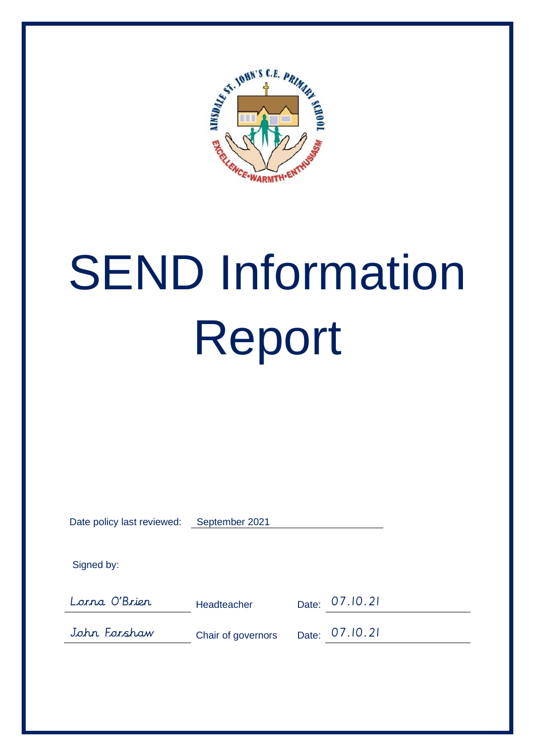

# SEND Information Report

| Date policy last reviewed: | September 2021     |       |          |  |
|----------------------------|--------------------|-------|----------|--|
| Signed by:                 |                    |       |          |  |
| Lorna O'Brier              | Headteacher        | Date: | 07.10.21 |  |
| John Forshaw               | Chair of governors | Date: | 07.10.21 |  |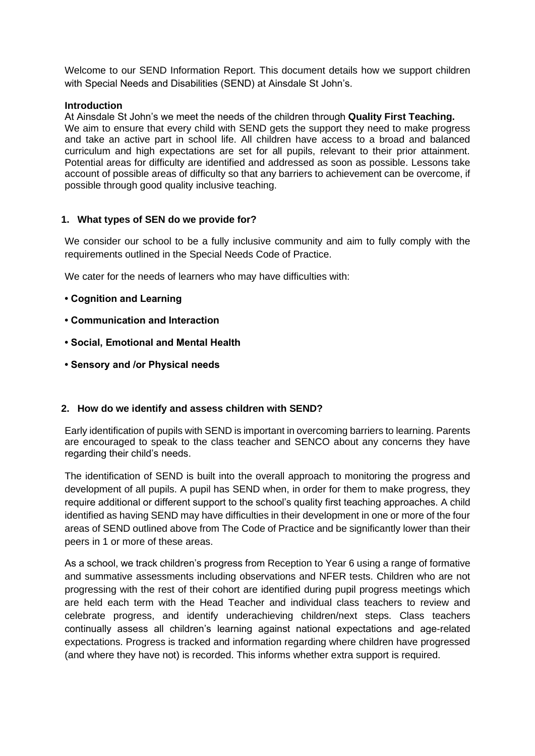Welcome to our SEND Information Report. This document details how we support children with Special Needs and Disabilities (SEND) at Ainsdale St John's.

#### **Introduction**

At Ainsdale St John's we meet the needs of the children through **Quality First Teaching.** We aim to ensure that every child with SEND gets the support they need to make progress and take an active part in school life. All children have access to a broad and balanced curriculum and high expectations are set for all pupils, relevant to their prior attainment. Potential areas for difficulty are identified and addressed as soon as possible. Lessons take account of possible areas of difficulty so that any barriers to achievement can be overcome, if possible through good quality inclusive teaching.

#### **1. What types of SEN do we provide for?**

We consider our school to be a fully inclusive community and aim to fully comply with the requirements outlined in the Special Needs Code of Practice.

We cater for the needs of learners who may have difficulties with:

- **Cognition and Learning**
- **Communication and Interaction**
- **Social, Emotional and Mental Health**
- **Sensory and /or Physical needs**

#### **2. How do we identify and assess children with SEND?**

Early identification of pupils with SEND is important in overcoming barriers to learning. Parents are encouraged to speak to the class teacher and SENCO about any concerns they have regarding their child's needs.

The identification of SEND is built into the overall approach to monitoring the progress and development of all pupils. A pupil has SEND when, in order for them to make progress, they require additional or different support to the school's quality first teaching approaches. A child identified as having SEND may have difficulties in their development in one or more of the four areas of SEND outlined above from The Code of Practice and be significantly lower than their peers in 1 or more of these areas.

As a school, we track children's progress from Reception to Year 6 using a range of formative and summative assessments including observations and NFER tests. Children who are not progressing with the rest of their cohort are identified during pupil progress meetings which are held each term with the Head Teacher and individual class teachers to review and celebrate progress, and identify underachieving children/next steps. Class teachers continually assess all children's learning against national expectations and age-related expectations. Progress is tracked and information regarding where children have progressed (and where they have not) is recorded. This informs whether extra support is required.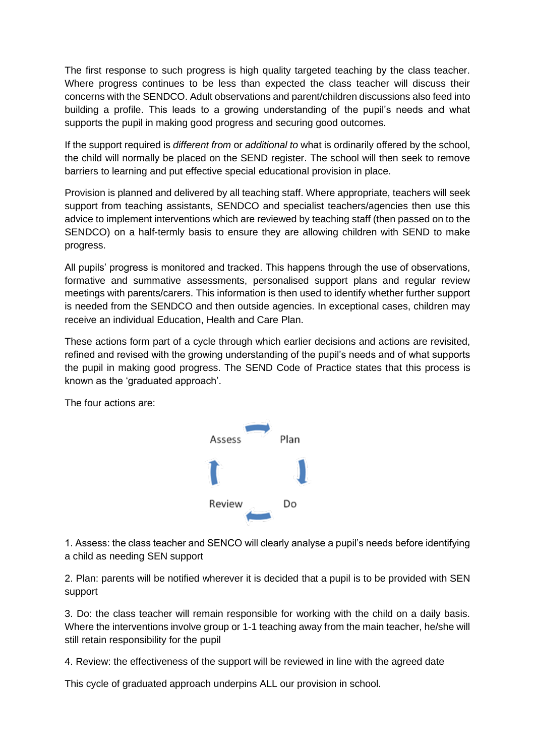The first response to such progress is high quality targeted teaching by the class teacher. Where progress continues to be less than expected the class teacher will discuss their concerns with the SENDCO. Adult observations and parent/children discussions also feed into building a profile. This leads to a growing understanding of the pupil's needs and what supports the pupil in making good progress and securing good outcomes.

If the support required is *different from* or *additional to* what is ordinarily offered by the school, the child will normally be placed on the SEND register. The school will then seek to remove barriers to learning and put effective special educational provision in place.

Provision is planned and delivered by all teaching staff. Where appropriate, teachers will seek support from teaching assistants, SENDCO and specialist teachers/agencies then use this advice to implement interventions which are reviewed by teaching staff (then passed on to the SENDCO) on a half-termly basis to ensure they are allowing children with SEND to make progress.

All pupils' progress is monitored and tracked. This happens through the use of observations, formative and summative assessments, personalised support plans and regular review meetings with parents/carers. This information is then used to identify whether further support is needed from the SENDCO and then outside agencies. In exceptional cases, children may receive an individual Education, Health and Care Plan.

These actions form part of a cycle through which earlier decisions and actions are revisited, refined and revised with the growing understanding of the pupil's needs and of what supports the pupil in making good progress. The SEND Code of Practice states that this process is known as the 'graduated approach'.

The four actions are:



1. Assess: the class teacher and SENCO will clearly analyse a pupil's needs before identifying a child as needing SEN support

2. Plan: parents will be notified wherever it is decided that a pupil is to be provided with SEN support

3. Do: the class teacher will remain responsible for working with the child on a daily basis. Where the interventions involve group or 1-1 teaching away from the main teacher, he/she will still retain responsibility for the pupil

4. Review: the effectiveness of the support will be reviewed in line with the agreed date

This cycle of graduated approach underpins ALL our provision in school.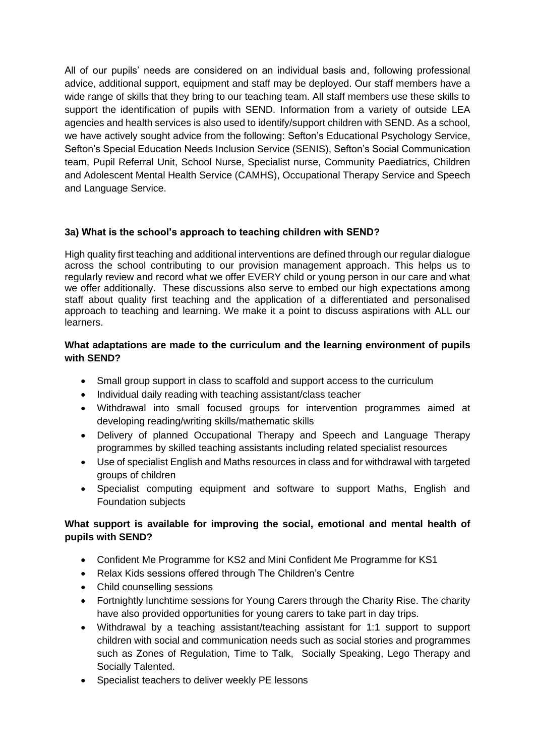All of our pupils' needs are considered on an individual basis and, following professional advice, additional support, equipment and staff may be deployed. Our staff members have a wide range of skills that they bring to our teaching team. All staff members use these skills to support the identification of pupils with SEND. Information from a variety of outside LEA agencies and health services is also used to identify/support children with SEND. As a school, we have actively sought advice from the following: Sefton's Educational Psychology Service, Sefton's Special Education Needs Inclusion Service (SENIS), Sefton's Social Communication team, Pupil Referral Unit, School Nurse, Specialist nurse, Community Paediatrics, Children and Adolescent Mental Health Service (CAMHS), Occupational Therapy Service and Speech and Language Service.

# **3a) What is the school's approach to teaching children with SEND?**

High quality first teaching and additional interventions are defined through our regular dialogue across the school contributing to our provision management approach. This helps us to regularly review and record what we offer EVERY child or young person in our care and what we offer additionally. These discussions also serve to embed our high expectations among staff about quality first teaching and the application of a differentiated and personalised approach to teaching and learning. We make it a point to discuss aspirations with ALL our learners.

## **What adaptations are made to the curriculum and the learning environment of pupils with SEND?**

- Small group support in class to scaffold and support access to the curriculum
- Individual daily reading with teaching assistant/class teacher
- Withdrawal into small focused groups for intervention programmes aimed at developing reading/writing skills/mathematic skills
- Delivery of planned Occupational Therapy and Speech and Language Therapy programmes by skilled teaching assistants including related specialist resources
- Use of specialist English and Maths resources in class and for withdrawal with targeted groups of children
- Specialist computing equipment and software to support Maths, English and Foundation subjects

# **What support is available for improving the social, emotional and mental health of pupils with SEND?**

- Confident Me Programme for KS2 and Mini Confident Me Programme for KS1
- Relax Kids sessions offered through The Children's Centre
- Child counselling sessions
- Fortnightly lunchtime sessions for Young Carers through the Charity Rise. The charity have also provided opportunities for young carers to take part in day trips.
- Withdrawal by a teaching assistant/teaching assistant for 1:1 support to support children with social and communication needs such as social stories and programmes such as Zones of Regulation, Time to Talk, Socially Speaking, Lego Therapy and Socially Talented.
- Specialist teachers to deliver weekly PE lessons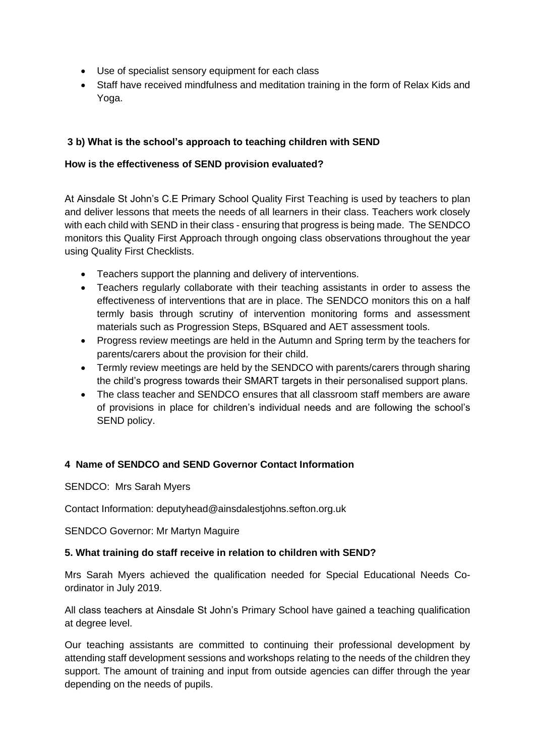- Use of specialist sensory equipment for each class
- Staff have received mindfulness and meditation training in the form of Relax Kids and Yoga.

# **3 b) What is the school's approach to teaching children with SEND**

## **How is the effectiveness of SEND provision evaluated?**

At Ainsdale St John's C.E Primary School Quality First Teaching is used by teachers to plan and deliver lessons that meets the needs of all learners in their class. Teachers work closely with each child with SEND in their class - ensuring that progress is being made. The SENDCO monitors this Quality First Approach through ongoing class observations throughout the year using Quality First Checklists.

- Teachers support the planning and delivery of interventions.
- Teachers regularly collaborate with their teaching assistants in order to assess the effectiveness of interventions that are in place. The SENDCO monitors this on a half termly basis through scrutiny of intervention monitoring forms and assessment materials such as Progression Steps, BSquared and AET assessment tools.
- Progress review meetings are held in the Autumn and Spring term by the teachers for parents/carers about the provision for their child.
- Termly review meetings are held by the SENDCO with parents/carers through sharing the child's progress towards their SMART targets in their personalised support plans.
- The class teacher and SENDCO ensures that all classroom staff members are aware of provisions in place for children's individual needs and are following the school's SEND policy.

# **4 Name of SENDCO and SEND Governor Contact Information**

SENDCO: Mrs Sarah Myers

Contact Information: deputyhead@ainsdalestjohns.sefton.org.uk

SENDCO Governor: Mr Martyn Maguire

# **5. What training do staff receive in relation to children with SEND?**

Mrs Sarah Myers achieved the qualification needed for Special Educational Needs Coordinator in July 2019.

All class teachers at Ainsdale St John's Primary School have gained a teaching qualification at degree level.

Our teaching assistants are committed to continuing their professional development by attending staff development sessions and workshops relating to the needs of the children they support. The amount of training and input from outside agencies can differ through the year depending on the needs of pupils.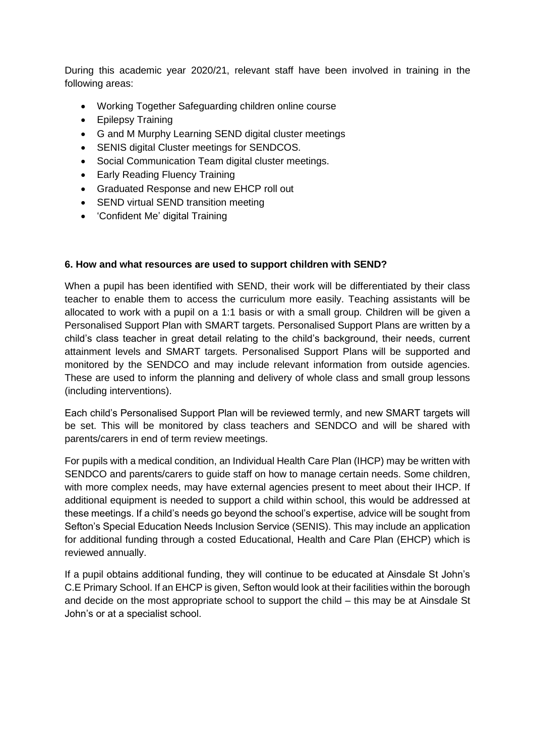During this academic year 2020/21, relevant staff have been involved in training in the following areas:

- Working Together Safeguarding children online course
- Epilepsy Training
- G and M Murphy Learning SEND digital cluster meetings
- SENIS digital Cluster meetings for SENDCOS.
- Social Communication Team digital cluster meetings.
- Early Reading Fluency Training
- Graduated Response and new EHCP roll out
- SEND virtual SEND transition meeting
- 'Confident Me' digital Training

### **6. How and what resources are used to support children with SEND?**

When a pupil has been identified with SEND, their work will be differentiated by their class teacher to enable them to access the curriculum more easily. Teaching assistants will be allocated to work with a pupil on a 1:1 basis or with a small group. Children will be given a Personalised Support Plan with SMART targets. Personalised Support Plans are written by a child's class teacher in great detail relating to the child's background, their needs, current attainment levels and SMART targets. Personalised Support Plans will be supported and monitored by the SENDCO and may include relevant information from outside agencies. These are used to inform the planning and delivery of whole class and small group lessons (including interventions).

Each child's Personalised Support Plan will be reviewed termly, and new SMART targets will be set. This will be monitored by class teachers and SENDCO and will be shared with parents/carers in end of term review meetings.

For pupils with a medical condition, an Individual Health Care Plan (IHCP) may be written with SENDCO and parents/carers to guide staff on how to manage certain needs. Some children, with more complex needs, may have external agencies present to meet about their IHCP. If additional equipment is needed to support a child within school, this would be addressed at these meetings. If a child's needs go beyond the school's expertise, advice will be sought from Sefton's Special Education Needs Inclusion Service (SENIS). This may include an application for additional funding through a costed Educational, Health and Care Plan (EHCP) which is reviewed annually.

If a pupil obtains additional funding, they will continue to be educated at Ainsdale St John's C.E Primary School. If an EHCP is given, Sefton would look at their facilities within the borough and decide on the most appropriate school to support the child – this may be at Ainsdale St John's or at a specialist school.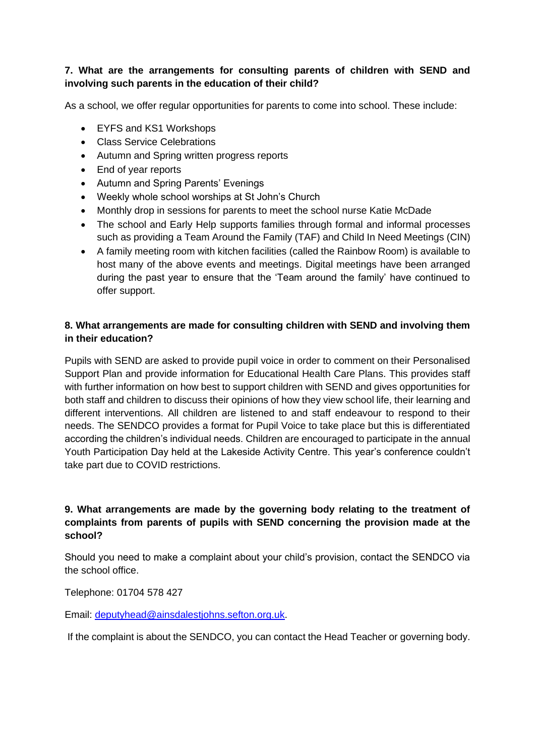## **7. What are the arrangements for consulting parents of children with SEND and involving such parents in the education of their child?**

As a school, we offer regular opportunities for parents to come into school. These include:

- EYFS and KS1 Workshops
- Class Service Celebrations
- Autumn and Spring written progress reports
- End of year reports
- Autumn and Spring Parents' Evenings
- Weekly whole school worships at St John's Church
- Monthly drop in sessions for parents to meet the school nurse Katie McDade
- The school and Early Help supports families through formal and informal processes such as providing a Team Around the Family (TAF) and Child In Need Meetings (CIN)
- A family meeting room with kitchen facilities (called the Rainbow Room) is available to host many of the above events and meetings. Digital meetings have been arranged during the past year to ensure that the 'Team around the family' have continued to offer support.

## **8. What arrangements are made for consulting children with SEND and involving them in their education?**

Pupils with SEND are asked to provide pupil voice in order to comment on their Personalised Support Plan and provide information for Educational Health Care Plans. This provides staff with further information on how best to support children with SEND and gives opportunities for both staff and children to discuss their opinions of how they view school life, their learning and different interventions. All children are listened to and staff endeavour to respond to their needs. The SENDCO provides a format for Pupil Voice to take place but this is differentiated according the children's individual needs. Children are encouraged to participate in the annual Youth Participation Day held at the Lakeside Activity Centre. This year's conference couldn't take part due to COVID restrictions.

## **9. What arrangements are made by the governing body relating to the treatment of complaints from parents of pupils with SEND concerning the provision made at the school?**

Should you need to make a complaint about your child's provision, contact the SENDCO via the school office.

Telephone: 01704 578 427

Email: [deputyhead@ainsdalestjohns.sefton.org.uk.](mailto:deputyhead@ainsdalestjohns.sefton.org.uk)

If the complaint is about the SENDCO, you can contact the Head Teacher or governing body.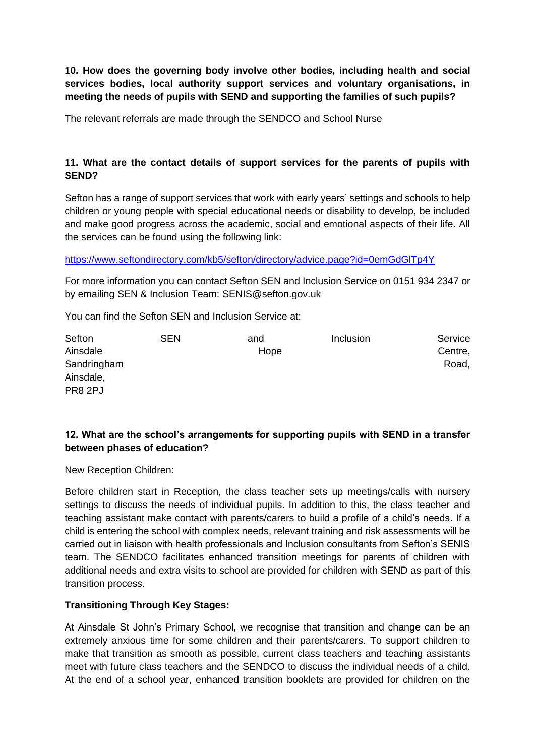**10. How does the governing body involve other bodies, including health and social services bodies, local authority support services and voluntary organisations, in meeting the needs of pupils with SEND and supporting the families of such pupils?**

The relevant referrals are made through the SENDCO and School Nurse

## **11. What are the contact details of support services for the parents of pupils with SEND?**

Sefton has a range of support services that work with early years' settings and schools to help children or young people with special educational needs or disability to develop, be included and make good progress across the academic, social and emotional aspects of their life. All the services can be found using the following link:

<https://www.seftondirectory.com/kb5/sefton/directory/advice.page?id=0emGdGlTp4Y>

For more information you can contact Sefton SEN and Inclusion Service on 0151 934 2347 or by emailing SEN & Inclusion Team: SENIS@sefton.gov.uk

You can find the Sefton SEN and Inclusion Service at:

| Sefton      | <b>SEN</b> | and  | Inclusion | Service |
|-------------|------------|------|-----------|---------|
| Ainsdale    |            | Hope |           | Centre, |
| Sandringham |            |      |           | Road,   |
| Ainsdale,   |            |      |           |         |
| PR8 2PJ     |            |      |           |         |

# **12. What are the school's arrangements for supporting pupils with SEND in a transfer between phases of education?**

New Reception Children:

Before children start in Reception, the class teacher sets up meetings/calls with nursery settings to discuss the needs of individual pupils. In addition to this, the class teacher and teaching assistant make contact with parents/carers to build a profile of a child's needs. If a child is entering the school with complex needs, relevant training and risk assessments will be carried out in liaison with health professionals and Inclusion consultants from Sefton's SENIS team. The SENDCO facilitates enhanced transition meetings for parents of children with additional needs and extra visits to school are provided for children with SEND as part of this transition process.

#### **Transitioning Through Key Stages:**

At Ainsdale St John's Primary School, we recognise that transition and change can be an extremely anxious time for some children and their parents/carers. To support children to make that transition as smooth as possible, current class teachers and teaching assistants meet with future class teachers and the SENDCO to discuss the individual needs of a child. At the end of a school year, enhanced transition booklets are provided for children on the